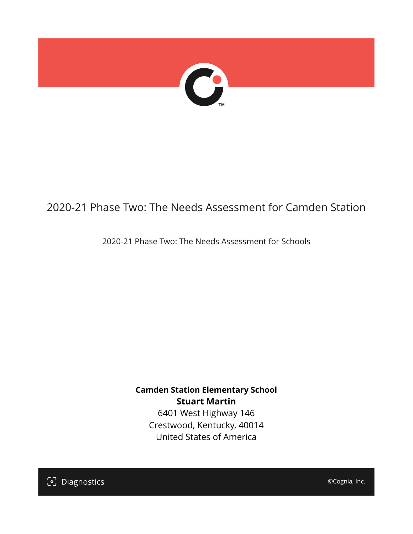

# 2020-21 Phase Two: The Needs Assessment for Camden Station

2020-21 Phase Two: The Needs Assessment for Schools

**Camden Station Elementary School Stuart Martin**

6401 West Highway 146 Crestwood, Kentucky, 40014 United States of America

[၁] Diagnostics

©Cognia, Inc.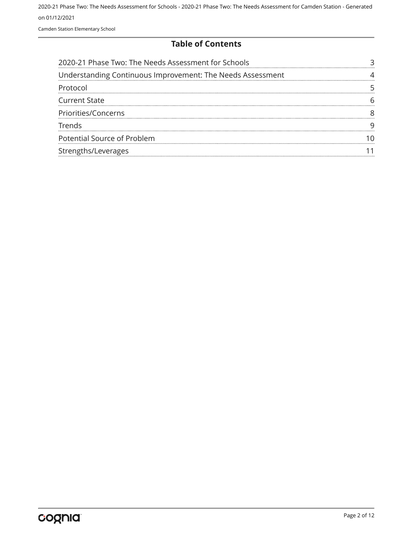Camden Station Elementary School

#### **Table of Contents**

| 2020-21 Phase Two: The Needs Assessment for Schools        |  |
|------------------------------------------------------------|--|
| Understanding Continuous Improvement: The Needs Assessment |  |
| Protocol                                                   |  |
| <b>Current State</b>                                       |  |
| Priorities/Concerns                                        |  |
| Trends                                                     |  |
| Potential Source of Problem                                |  |
| Strengths/Leverages                                        |  |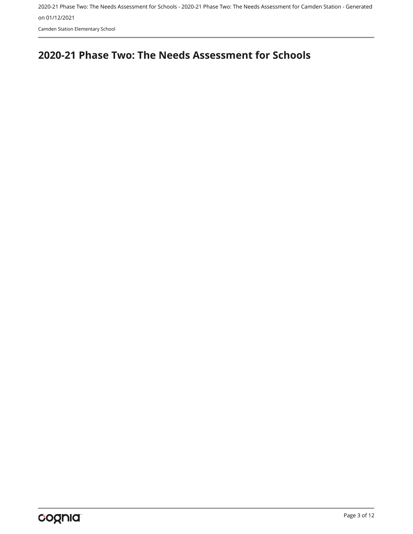Camden Station Elementary School

## <span id="page-2-0"></span>**2020-21 Phase Two: The Needs Assessment for Schools**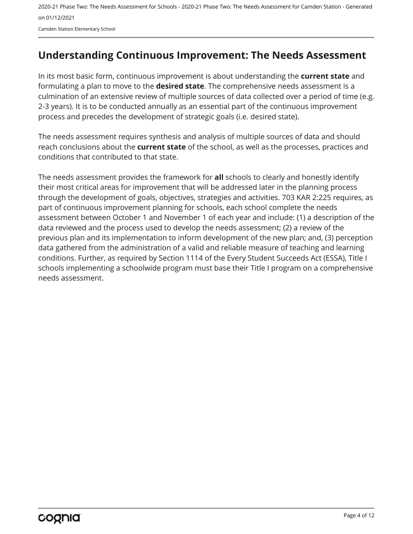Camden Station Elementary School

## <span id="page-3-0"></span>**Understanding Continuous Improvement: The Needs Assessment**

In its most basic form, continuous improvement is about understanding the **current state** and formulating a plan to move to the **desired state**. The comprehensive needs assessment is a culmination of an extensive review of multiple sources of data collected over a period of time (e.g. 2-3 years). It is to be conducted annually as an essential part of the continuous improvement process and precedes the development of strategic goals (i.e. desired state).

The needs assessment requires synthesis and analysis of multiple sources of data and should reach conclusions about the **current state** of the school, as well as the processes, practices and conditions that contributed to that state.

The needs assessment provides the framework for **all** schools to clearly and honestly identify their most critical areas for improvement that will be addressed later in the planning process through the development of goals, objectives, strategies and activities. 703 KAR 2:225 requires, as part of continuous improvement planning for schools, each school complete the needs assessment between October 1 and November 1 of each year and include: (1) a description of the data reviewed and the process used to develop the needs assessment; (2) a review of the previous plan and its implementation to inform development of the new plan; and, (3) perception data gathered from the administration of a valid and reliable measure of teaching and learning conditions. Further, as required by Section 1114 of the Every Student Succeeds Act (ESSA), Title I schools implementing a schoolwide program must base their Title I program on a comprehensive needs assessment.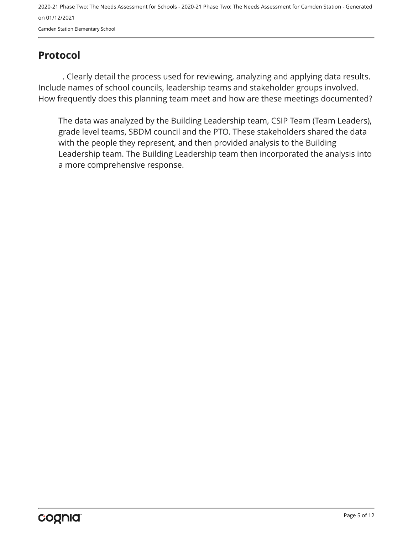## <span id="page-4-0"></span>**Protocol**

. Clearly detail the process used for reviewing, analyzing and applying data results. Include names of school councils, leadership teams and stakeholder groups involved. How frequently does this planning team meet and how are these meetings documented?

The data was analyzed by the Building Leadership team, CSIP Team (Team Leaders), grade level teams, SBDM council and the PTO. These stakeholders shared the data with the people they represent, and then provided analysis to the Building Leadership team. The Building Leadership team then incorporated the analysis into a more comprehensive response.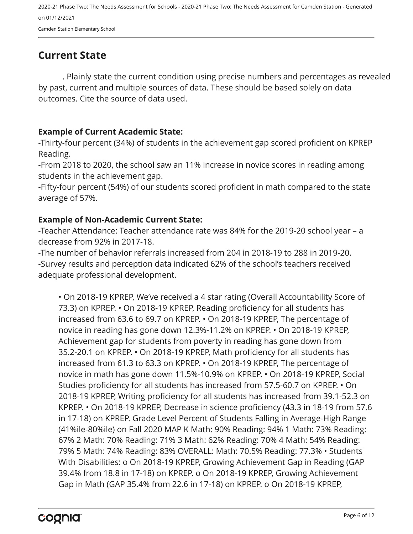## <span id="page-5-0"></span>**Current State**

. Plainly state the current condition using precise numbers and percentages as revealed by past, current and multiple sources of data. These should be based solely on data outcomes. Cite the source of data used.

#### **Example of Current Academic State:**

-Thirty-four percent (34%) of students in the achievement gap scored proficient on KPREP Reading.

-From 2018 to 2020, the school saw an 11% increase in novice scores in reading among students in the achievement gap.

-Fifty-four percent (54%) of our students scored proficient in math compared to the state average of 57%.

#### **Example of Non-Academic Current State:**

-Teacher Attendance: Teacher attendance rate was 84% for the 2019-20 school year – a decrease from 92% in 2017-18.

-The number of behavior referrals increased from 204 in 2018-19 to 288 in 2019-20. -Survey results and perception data indicated 62% of the school's teachers received adequate professional development.

• On 2018-19 KPREP, We've received a 4 star rating (Overall Accountability Score of 73.3) on KPREP. • On 2018-19 KPREP, Reading proficiency for all students has increased from 63.6 to 69.7 on KPREP. • On 2018-19 KPREP, The percentage of novice in reading has gone down 12.3%-11.2% on KPREP. • On 2018-19 KPREP, Achievement gap for students from poverty in reading has gone down from 35.2-20.1 on KPREP. • On 2018-19 KPREP, Math proficiency for all students has increased from 61.3 to 63.3 on KPREP. • On 2018-19 KPREP, The percentage of novice in math has gone down 11.5%-10.9% on KPREP. • On 2018-19 KPREP, Social Studies proficiency for all students has increased from 57.5-60.7 on KPREP. • On 2018-19 KPREP, Writing proficiency for all students has increased from 39.1-52.3 on KPREP. • On 2018-19 KPREP, Decrease in science proficiency (43.3 in 18-19 from 57.6 in 17-18) on KPREP. Grade Level Percent of Students Falling in Average-High Range (41%ile-80%ile) on Fall 2020 MAP K Math: 90% Reading: 94% 1 Math: 73% Reading: 67% 2 Math: 70% Reading: 71% 3 Math: 62% Reading: 70% 4 Math: 54% Reading: 79% 5 Math: 74% Reading: 83% OVERALL: Math: 70.5% Reading: 77.3% • Students With Disabilities: o On 2018-19 KPREP, Growing Achievement Gap in Reading (GAP 39.4% from 18.8 in 17-18) on KPREP. o On 2018-19 KPREP, Growing Achievement Gap in Math (GAP 35.4% from 22.6 in 17-18) on KPREP. o On 2018-19 KPREP,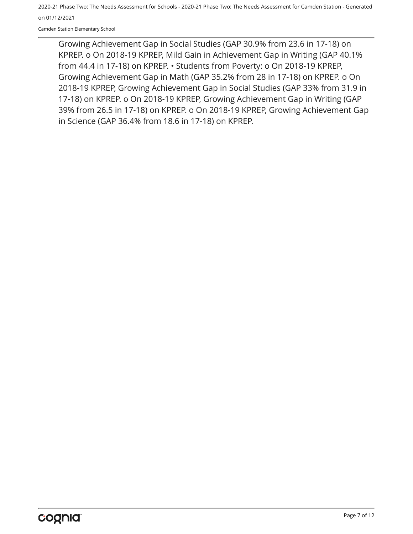Camden Station Elementary School

Growing Achievement Gap in Social Studies (GAP 30.9% from 23.6 in 17-18) on KPREP. o On 2018-19 KPREP, Mild Gain in Achievement Gap in Writing (GAP 40.1% from 44.4 in 17-18) on KPREP. • Students from Poverty: o On 2018-19 KPREP, Growing Achievement Gap in Math (GAP 35.2% from 28 in 17-18) on KPREP. o On 2018-19 KPREP, Growing Achievement Gap in Social Studies (GAP 33% from 31.9 in 17-18) on KPREP. o On 2018-19 KPREP, Growing Achievement Gap in Writing (GAP 39% from 26.5 in 17-18) on KPREP. o On 2018-19 KPREP, Growing Achievement Gap in Science (GAP 36.4% from 18.6 in 17-18) on KPREP.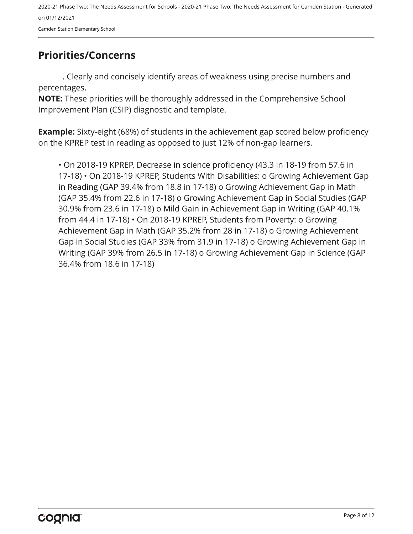## <span id="page-7-0"></span>**Priorities/Concerns**

. Clearly and concisely identify areas of weakness using precise numbers and percentages.

**NOTE:** These priorities will be thoroughly addressed in the Comprehensive School Improvement Plan (CSIP) diagnostic and template.

**Example:** Sixty-eight (68%) of students in the achievement gap scored below proficiency on the KPREP test in reading as opposed to just 12% of non-gap learners.

• On 2018-19 KPREP, Decrease in science proficiency (43.3 in 18-19 from 57.6 in 17-18) • On 2018-19 KPREP, Students With Disabilities: o Growing Achievement Gap in Reading (GAP 39.4% from 18.8 in 17-18) o Growing Achievement Gap in Math (GAP 35.4% from 22.6 in 17-18) o Growing Achievement Gap in Social Studies (GAP 30.9% from 23.6 in 17-18) o Mild Gain in Achievement Gap in Writing (GAP 40.1% from 44.4 in 17-18) • On 2018-19 KPREP, Students from Poverty: o Growing Achievement Gap in Math (GAP 35.2% from 28 in 17-18) o Growing Achievement Gap in Social Studies (GAP 33% from 31.9 in 17-18) o Growing Achievement Gap in Writing (GAP 39% from 26.5 in 17-18) o Growing Achievement Gap in Science (GAP 36.4% from 18.6 in 17-18)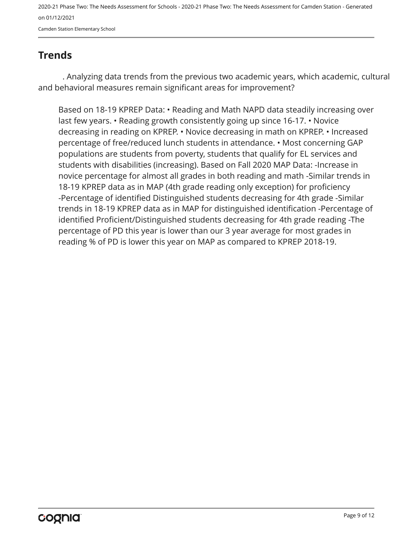## <span id="page-8-0"></span>**Trends**

. Analyzing data trends from the previous two academic years, which academic, cultural and behavioral measures remain significant areas for improvement?

Based on 18-19 KPREP Data: • Reading and Math NAPD data steadily increasing over last few years. • Reading growth consistently going up since 16-17. • Novice decreasing in reading on KPREP. • Novice decreasing in math on KPREP. • Increased percentage of free/reduced lunch students in attendance. • Most concerning GAP populations are students from poverty, students that qualify for EL services and students with disabilities (increasing). Based on Fall 2020 MAP Data: -Increase in novice percentage for almost all grades in both reading and math -Similar trends in 18-19 KPREP data as in MAP (4th grade reading only exception) for proficiency -Percentage of identified Distinguished students decreasing for 4th grade -Similar trends in 18-19 KPREP data as in MAP for distinguished identification -Percentage of identified Proficient/Distinguished students decreasing for 4th grade reading -The percentage of PD this year is lower than our 3 year average for most grades in reading % of PD is lower this year on MAP as compared to KPREP 2018-19.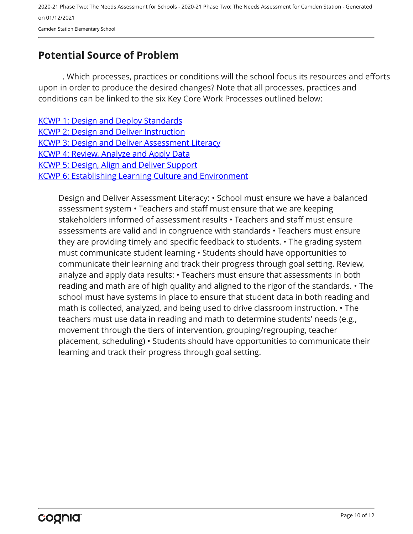2020-21 Phase Two: The Needs Assessment for Schools - 2020-21 Phase Two: The Needs Assessment for Camden Station - Generated on 01/12/2021 Camden Station Elementary School

## <span id="page-9-0"></span>**Potential Source of Problem**

. Which processes, practices or conditions will the school focus its resources and efforts upon in order to produce the desired changes? Note that all processes, practices and conditions can be linked to the six Key Core Work Processes outlined below:

[KCWP 1: Design and Deploy Standards](https://education.ky.gov/school/csip/Documents/KCWP 1 Strategic Design and Deploy Standards.pdf) [KCWP 2: Design and Deliver Instruction](https://education.ky.gov/school/csip/Documents/KCWP%202%20Strategic%20Design%20and%20Deliver%20Instruction.pdf) [KCWP 3: Design and Deliver Assessment Literacy](https://education.ky.gov/school/csip/Documents/KCWP%203%20Strategic%20Design%20and%20Deliver%20Assessment%20Literacy.pdf) [KCWP 4: Review, Analyze and Apply Data](https://education.ky.gov/school/csip/Documents/KCWP 4 Strategic Review Analyze and Apply Data.pdf) [KCWP 5: Design, Align and Deliver Support](https://education.ky.gov/school/csip/Documents/KCWP 5 Strategic Design Align Deliver Support Processes.pdf) [KCWP 6: Establishing Learning Culture and Environment](https://education.ky.gov/school/csip/Documents/KCWP 6 Strategic Establish Learning Culture and Environment.pdf)

Design and Deliver Assessment Literacy: • School must ensure we have a balanced assessment system • Teachers and staff must ensure that we are keeping stakeholders informed of assessment results • Teachers and staff must ensure assessments are valid and in congruence with standards • Teachers must ensure they are providing timely and specific feedback to students. • The grading system must communicate student learning • Students should have opportunities to communicate their learning and track their progress through goal setting. Review, analyze and apply data results: • Teachers must ensure that assessments in both reading and math are of high quality and aligned to the rigor of the standards. • The school must have systems in place to ensure that student data in both reading and math is collected, analyzed, and being used to drive classroom instruction. • The teachers must use data in reading and math to determine students' needs (e.g., movement through the tiers of intervention, grouping/regrouping, teacher placement, scheduling) • Students should have opportunities to communicate their learning and track their progress through goal setting.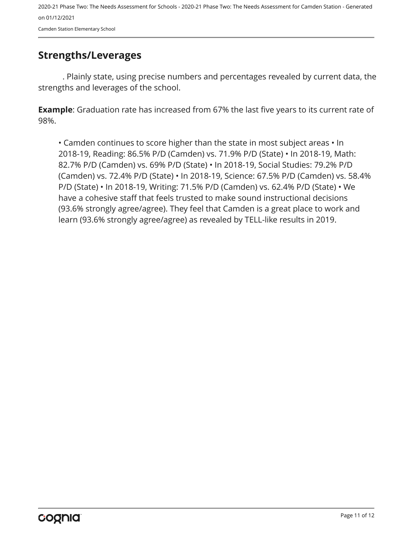### <span id="page-10-0"></span>**Strengths/Leverages**

. Plainly state, using precise numbers and percentages revealed by current data, the strengths and leverages of the school.

**Example**: Graduation rate has increased from 67% the last five years to its current rate of 98%.

• Camden continues to score higher than the state in most subject areas • In 2018-19, Reading: 86.5% P/D (Camden) vs. 71.9% P/D (State) • In 2018-19, Math: 82.7% P/D (Camden) vs. 69% P/D (State) • In 2018-19, Social Studies: 79.2% P/D (Camden) vs. 72.4% P/D (State) • In 2018-19, Science: 67.5% P/D (Camden) vs. 58.4% P/D (State) • In 2018-19, Writing: 71.5% P/D (Camden) vs. 62.4% P/D (State) • We have a cohesive staff that feels trusted to make sound instructional decisions (93.6% strongly agree/agree). They feel that Camden is a great place to work and learn (93.6% strongly agree/agree) as revealed by TELL-like results in 2019.